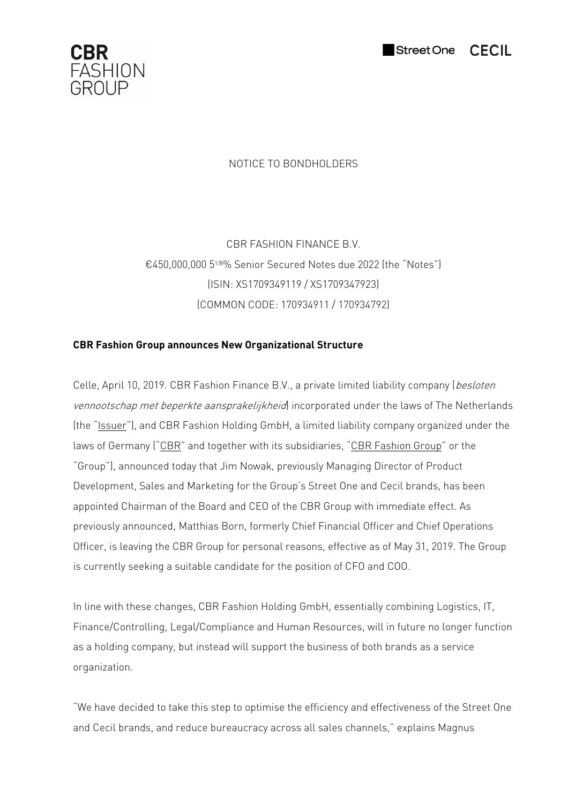



## NOTICE TO BONDHOLDERS

CBR FASHION FINANCE B.V. €450,000,000 51/8% Senior Secured Notes due 2022 (the "Notes") (ISIN: XS1709349119 / XS1709347923) (COMMON CODE: 170934911 / 170934792)

## **CBR Fashion Group announces New Organizational Structure**

Celle, April 10, 2019. CBR Fashion Finance B.V., a private limited liability company (besloten vennootschap met beperkte aansprakelijkheid) incorporated under the laws of The Netherlands (the "Issuer"), and CBR Fashion Holding GmbH, a limited liability company organized under the laws of Germany ("CBR" and together with its subsidiaries, "CBR Fashion Group" or the "Group"), announced today that Jim Nowak, previously Managing Director of Product Development, Sales and Marketing for the Group's Street One and Cecil brands, has been appointed Chairman of the Board and CEO of the CBR Group with immediate effect. As previously announced, Matthias Born, formerly Chief Financial Officer and Chief Operations Officer, is leaving the CBR Group for personal reasons, effective as of May 31, 2019. The Group is currently seeking a suitable candidate for the position of CFO and COO.

In line with these changes, CBR Fashion Holding GmbH, essentially combining Logistics, IT, Finance/Controlling, Legal/Compliance and Human Resources, will in future no longer function as a holding company, but instead will support the business of both brands as a service organization.

"We have decided to take this step to optimise the efficiency and effectiveness of the Street One and Cecil brands, and reduce bureaucracy across all sales channels," explains Magnus